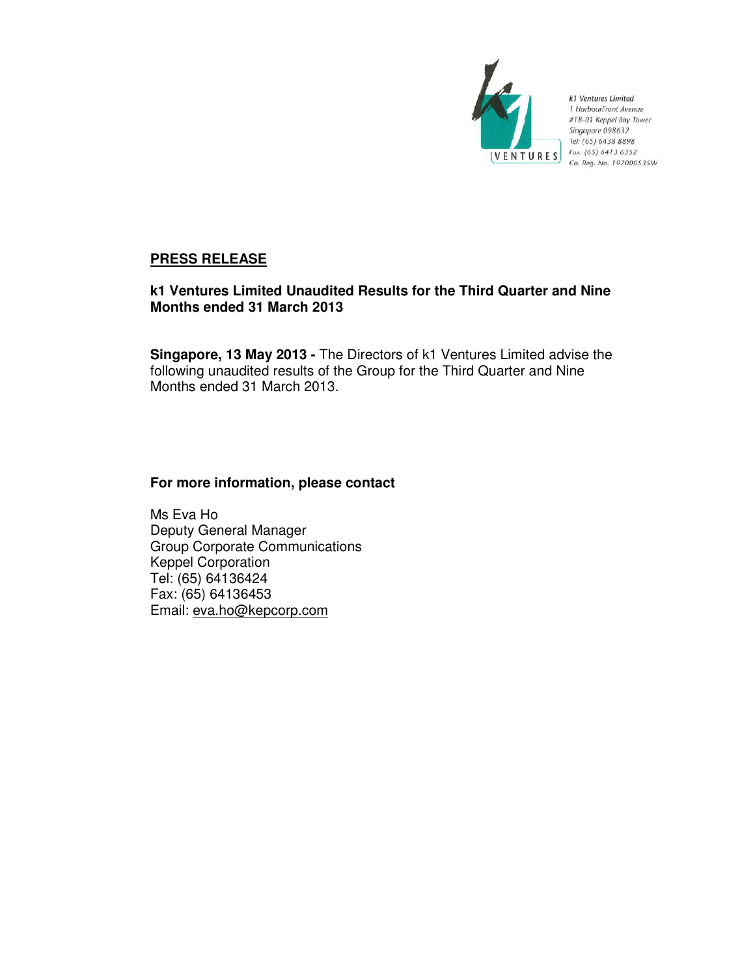

k1 Ventures Limited 1 HarbourFront Avenue<br>#18-01 Keppel Bay Tower Singapore 098632 Tel: (65) 6438 8898 Fax: (65) 6413 6352 Co. Reg. No. 197000535W

# **PRESS RELEASE**

# **k1 Ventures Limited Unaudited Results for the Third Quarter and Nine Months ended 31 March 2013**

**Singapore, 13 May 2013 -** The Directors of k1 Ventures Limited advise the following unaudited results of the Group for the Third Quarter and Nine Months ended 31 March 2013.

# **For more information, please contact**

Ms Eva Ho Deputy General Manager Group Corporate Communications Keppel Corporation Tel: (65) 64136424 Fax: (65) 64136453 Email: eva.ho@kepcorp.com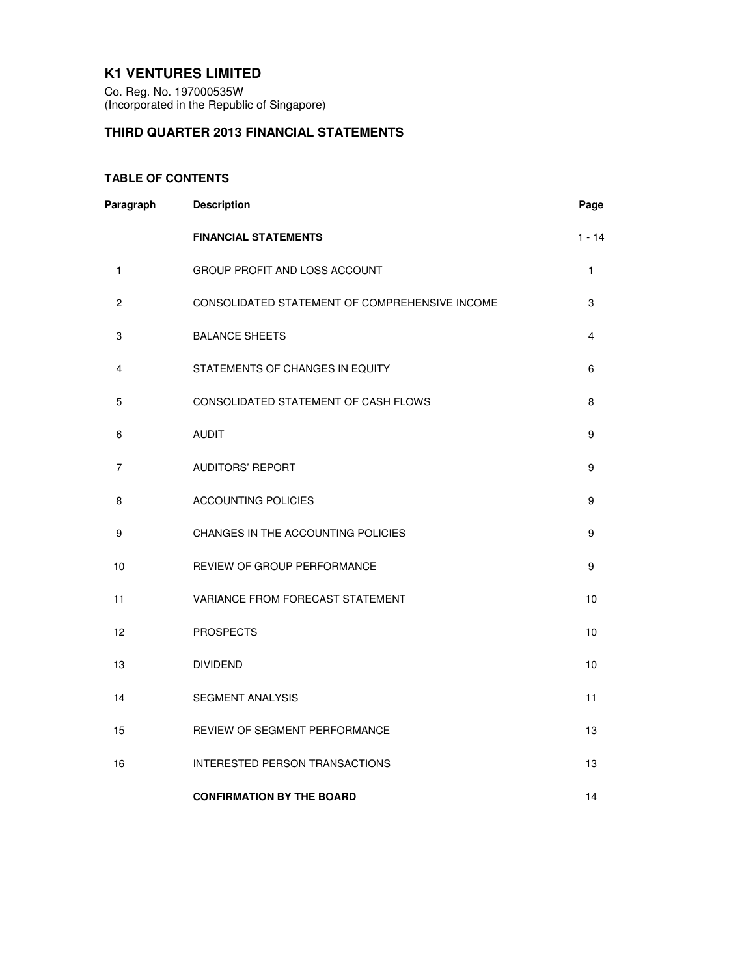## **K1 VENTURES LIMITED**

Co. Reg. No. 197000535W (Incorporated in the Republic of Singapore)

# **THIRD QUARTER 2013 FINANCIAL STATEMENTS**

## **TABLE OF CONTENTS**

| Paragraph      | <b>Description</b>                             | Page     |
|----------------|------------------------------------------------|----------|
|                | <b>FINANCIAL STATEMENTS</b>                    | $1 - 14$ |
| 1              | GROUP PROFIT AND LOSS ACCOUNT                  | 1        |
| $\overline{c}$ | CONSOLIDATED STATEMENT OF COMPREHENSIVE INCOME | 3        |
| 3              | <b>BALANCE SHEETS</b>                          | 4        |
| 4              | STATEMENTS OF CHANGES IN EQUITY                | 6        |
| 5              | CONSOLIDATED STATEMENT OF CASH FLOWS           | 8        |
| 6              | <b>AUDIT</b>                                   | 9        |
| 7              | <b>AUDITORS' REPORT</b>                        | 9        |
| 8              | <b>ACCOUNTING POLICIES</b>                     | 9        |
| 9              | CHANGES IN THE ACCOUNTING POLICIES             | 9        |
| 10             | REVIEW OF GROUP PERFORMANCE                    | 9        |
| 11             | <b>VARIANCE FROM FORECAST STATEMENT</b>        | 10       |
| 12             | <b>PROSPECTS</b>                               | 10       |
| 13             | <b>DIVIDEND</b>                                | 10       |
| 14             | <b>SEGMENT ANALYSIS</b>                        | 11       |
| 15             | REVIEW OF SEGMENT PERFORMANCE                  | 13       |
| 16             | INTERESTED PERSON TRANSACTIONS                 | 13       |
|                | <b>CONFIRMATION BY THE BOARD</b>               | 14       |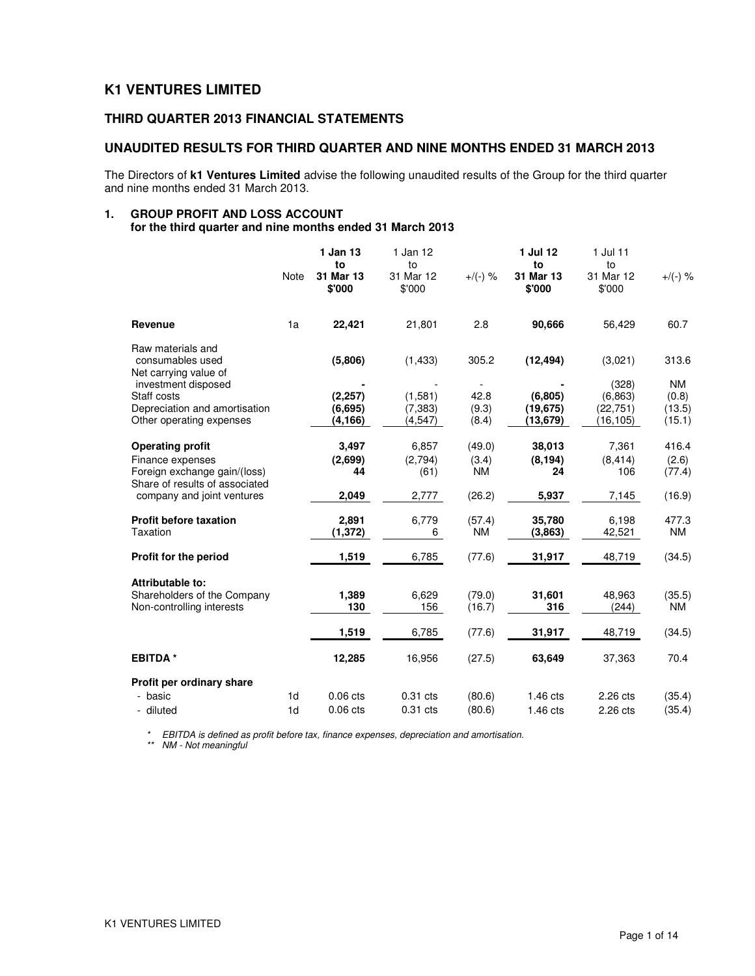## **K1 VENTURES LIMITED**

## **THIRD QUARTER 2013 FINANCIAL STATEMENTS**

#### **UNAUDITED RESULTS FOR THIRD QUARTER AND NINE MONTHS ENDED 31 MARCH 2013**

The Directors of **k1 Ventures Limited** advise the following unaudited results of the Group for the third quarter and nine months ended 31 March 2013.

# **1. GROUP PROFIT AND LOSS ACCOUNT**

**for the third quarter and nine months ended 31 March 2013** 

|                                                                |                | 1 Jan 13<br>to      | 1 Jan 12<br>to      |               | 1 Jul 12<br>to        | 1 Jul 11<br>to        |                 |
|----------------------------------------------------------------|----------------|---------------------|---------------------|---------------|-----------------------|-----------------------|-----------------|
|                                                                | <b>Note</b>    | 31 Mar 13<br>\$'000 | 31 Mar 12<br>\$'000 | $+$ /(-) %    | 31 Mar 13<br>\$'000   | 31 Mar 12<br>\$'000   | $+/(-)$ %       |
| Revenue                                                        | 1a             | 22,421              | 21,801              | 2.8           | 90,666                | 56,429                | 60.7            |
| Raw materials and<br>consumables used<br>Net carrying value of |                | (5,806)             | (1,433)             | 305.2         | (12, 494)             | (3.021)               | 313.6           |
| investment disposed                                            |                |                     |                     |               |                       | (328)                 | NM              |
| Staff costs<br>Depreciation and amortisation                   |                | (2, 257)            | (1,581)<br>(7, 383) | 42.8<br>(9.3) | (6, 805)<br>(19, 675) | (6.863)               | (0.8)<br>(13.5) |
| Other operating expenses                                       |                | (6,695)<br>(4, 166) | (4,547)             | (8.4)         | (13,679)              | (22, 751)<br>(16,105) | (15.1)          |
| <b>Operating profit</b>                                        |                | 3,497               | 6,857               | (49.0)        | 38,013                | 7,361                 | 416.4           |
| Finance expenses                                               |                | (2,699)             | (2,794)             | (3.4)         | (8, 194)              | (8, 414)              | (2.6)           |
| Foreign exchange gain/(loss)<br>Share of results of associated |                | 44                  | (61)                | <b>NM</b>     | 24                    | 106                   | (77.4)          |
| company and joint ventures                                     |                | 2,049               | 2,777               | (26.2)        | 5,937                 | 7,145                 | (16.9)          |
| <b>Profit before taxation</b>                                  |                | 2,891               | 6,779               | (57.4)        | 35,780                | 6,198                 | 477.3           |
| Taxation                                                       |                | (1, 372)            | 6                   | <b>NM</b>     | (3,863)               | 42,521                | <b>NM</b>       |
| Profit for the period                                          |                | 1,519               | 6,785               | (77.6)        | 31,917                | 48,719                | (34.5)          |
| Attributable to:                                               |                |                     |                     |               |                       |                       |                 |
| Shareholders of the Company                                    |                | 1,389               | 6,629               | (79.0)        | 31,601                | 48,963                | (35.5)          |
| Non-controlling interests                                      |                | 130                 | 156                 | (16.7)        | 316                   | (244)                 | <b>NM</b>       |
|                                                                |                | 1,519               | 6,785               | (77.6)        | 31,917                | 48,719                | (34.5)          |
| <b>EBITDA*</b>                                                 |                | 12,285              | 16,956              | (27.5)        | 63,649                | 37,363                | 70.4            |
| Profit per ordinary share                                      |                |                     |                     |               |                       |                       |                 |
| - basic                                                        | 1 <sub>d</sub> | 0.06 cts            | $0.31$ cts          | (80.6)        | $1.46$ cts            | 2.26 cts              | (35.4)          |
| - diluted                                                      | 1 <sub>d</sub> | $0.06$ cts          | $0.31$ cts          | (80.6)        | $1.46$ cts            | 2.26 cts              | (35.4)          |

\* EBITDA is defined as profit before tax, finance expenses, depreciation and amortisation.

\*\* NM - Not meaningful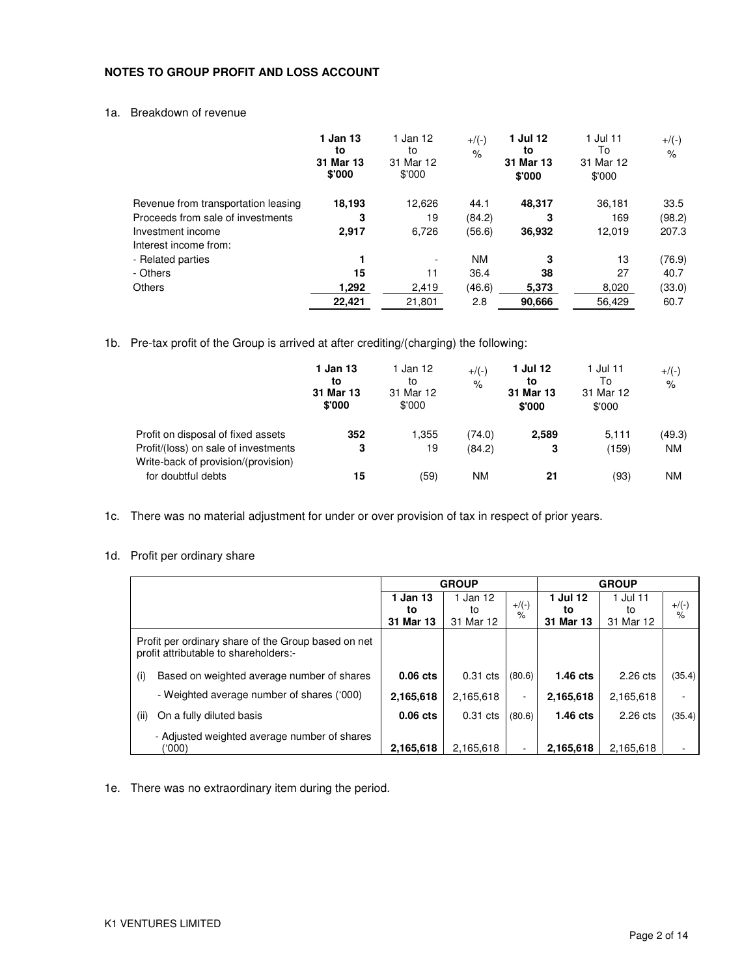## **NOTES TO GROUP PROFIT AND LOSS ACCOUNT**

## 1a. Breakdown of revenue

|                                     | 1 Jan 13<br>to<br>31 Mar 13<br>\$'000 | 1 Jan 12<br>to<br>31 Mar 12<br>\$'000 | $+/(-)$<br>$\%$ | 1 Jul 12<br>to<br>31 Mar 13<br>\$'000 | 1 Jul 11<br>To<br>31 Mar 12<br>\$'000 | $+$ /(-)<br>$\frac{1}{\sqrt{2}}$ |
|-------------------------------------|---------------------------------------|---------------------------------------|-----------------|---------------------------------------|---------------------------------------|----------------------------------|
| Revenue from transportation leasing | 18,193                                | 12,626                                | 44.1            | 48.317                                | 36.181                                | 33.5                             |
| Proceeds from sale of investments   | 3                                     | 19                                    | (84.2)          | 3                                     | 169                                   | (98.2)                           |
| Investment income                   | 2,917                                 | 6,726                                 | (56.6)          | 36.932                                | 12,019                                | 207.3                            |
| Interest income from:               |                                       |                                       |                 |                                       |                                       |                                  |
| - Related parties                   |                                       | ٠                                     | <b>NM</b>       | 3                                     | 13                                    | (76.9)                           |
| - Others                            | 15                                    | 11                                    | 36.4            | 38                                    | 27                                    | 40.7                             |
| <b>Others</b>                       | 1,292                                 | 2,419                                 | (46.6)          | 5,373                                 | 8,020                                 | (33.0)                           |
|                                     | 22.421                                | 21,801                                | 2.8             | 90,666                                | 56.429                                | 60.7                             |

1b. Pre-tax profit of the Group is arrived at after crediting/(charging) the following:

|                                                                             | 1 Jan 13<br>to<br>31 Mar 13<br>\$'000 | 1 Jan 12<br>to<br>31 Mar 12<br>\$'000 | $+$ /(-)<br>$\%$ | 1 Jul 12<br>to<br>31 Mar 13<br>\$'000 | 1 Jul 11<br>To<br>31 Mar 12<br>\$'000 | $+$ /(-)<br>$\%$ |
|-----------------------------------------------------------------------------|---------------------------------------|---------------------------------------|------------------|---------------------------------------|---------------------------------------|------------------|
| Profit on disposal of fixed assets                                          | 352                                   | 1.355                                 | (74.0)           | 2,589                                 | 5.111                                 | (49.3)           |
| Profit/(loss) on sale of investments<br>Write-back of provision/(provision) | 3                                     | 19                                    | (84.2)           | 3                                     | (159)                                 | <b>NM</b>        |
| for doubtful debts                                                          | 15                                    | (59)                                  | ΝM               | 21                                    | (93)                                  | ΝM               |

1c. There was no material adjustment for under or over provision of tax in respect of prior years.

## 1d. Profit per ordinary share

|                                                                                              | <b>GROUP</b>   |                |                          | <b>GROUP</b>   |                |                          |
|----------------------------------------------------------------------------------------------|----------------|----------------|--------------------------|----------------|----------------|--------------------------|
|                                                                                              | 1 Jan 13<br>to | 1 Jan 12<br>to | $+$ /(-)                 | 1 Jul 12<br>tο | 1 Jul 11<br>to | $+/(-)$<br>$\frac{9}{6}$ |
|                                                                                              | 31 Mar 13      | 31 Mar 12      | %                        | 31 Mar 13      | 31 Mar 12      |                          |
| Profit per ordinary share of the Group based on net<br>profit attributable to shareholders:- |                |                |                          |                |                |                          |
| Based on weighted average number of shares<br>(i)                                            | $0.06$ cts     | $0.31$ cts     | (80.6)                   | $1.46$ cts     | $2.26$ cts     | (35.4)                   |
| - Weighted average number of shares ('000)                                                   | 2,165,618      | 2,165,618      | $\overline{\phantom{0}}$ | 2,165,618      | 2,165,618      | $\overline{\phantom{a}}$ |
| On a fully diluted basis<br>(ii)                                                             | $0.06$ cts     | $0.31$ cts     | (80.6)                   | $1.46$ cts     | $2.26$ cts     | (35.4)                   |
| - Adjusted weighted average number of shares<br>(000)                                        | 2,165,618      | 2.165.618      |                          | 2,165,618      | 2.165.618      |                          |

1e. There was no extraordinary item during the period.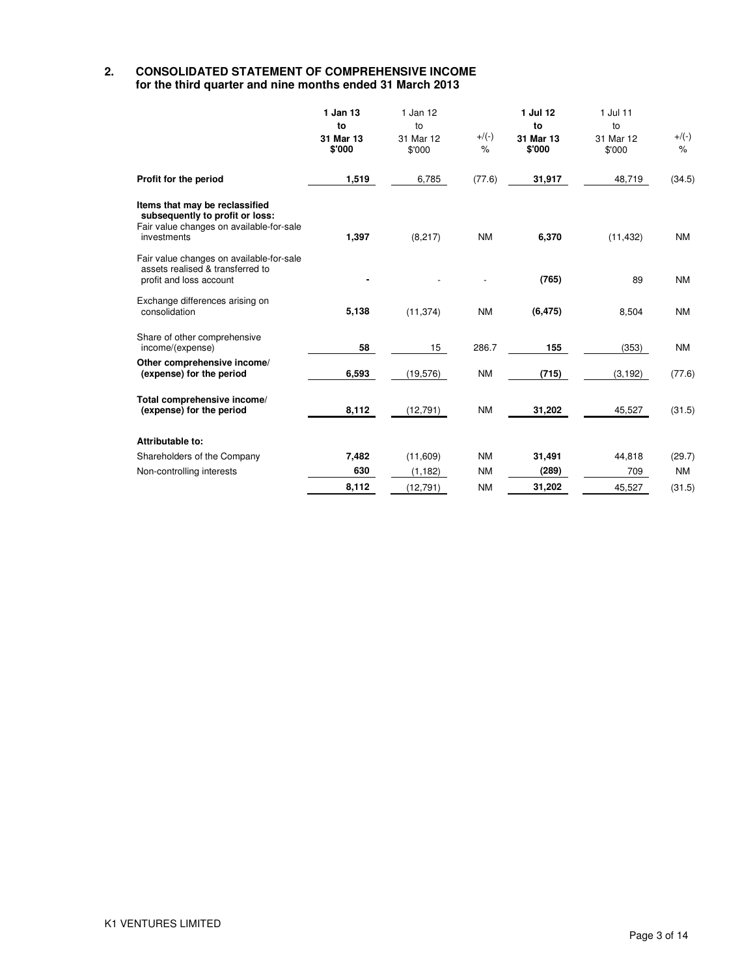#### **2. CONSOLIDATED STATEMENT OF COMPREHENSIVE INCOME for the third quarter and nine months ended 31 March 2013**

|                                                                                                                              | 1 Jan 13<br>to<br>31 Mar 13<br>\$'000 | 1 Jan 12<br>to<br>31 Mar 12<br>\$'000 | $+$ /(-)<br>$\%$ | 1 Jul 12<br>to<br>31 Mar 13<br>\$'000 | 1 Jul 11<br>to<br>31 Mar 12<br>\$'000 | $+/(-)$<br>$\%$ |
|------------------------------------------------------------------------------------------------------------------------------|---------------------------------------|---------------------------------------|------------------|---------------------------------------|---------------------------------------|-----------------|
| Profit for the period                                                                                                        | 1,519                                 | 6,785                                 | (77.6)           | 31,917                                | 48,719                                | (34.5)          |
| Items that may be reclassified<br>subsequently to profit or loss:<br>Fair value changes on available-for-sale<br>investments | 1,397                                 | (8, 217)                              | <b>NM</b>        | 6,370                                 | (11, 432)                             | <b>NM</b>       |
| Fair value changes on available-for-sale<br>assets realised & transferred to<br>profit and loss account                      |                                       |                                       |                  | (765)                                 | 89                                    | <b>NM</b>       |
| Exchange differences arising on<br>consolidation                                                                             | 5.138                                 | (11, 374)                             | <b>NM</b>        | (6, 475)                              | 8,504                                 | <b>NM</b>       |
| Share of other comprehensive<br>income/(expense)                                                                             | 58                                    | 15                                    | 286.7            | 155                                   | (353)                                 | <b>NM</b>       |
| Other comprehensive income/<br>(expense) for the period                                                                      | 6,593                                 | (19, 576)                             | <b>NM</b>        | (715)                                 | (3, 192)                              | (77.6)          |
| Total comprehensive income/<br>(expense) for the period                                                                      | 8,112                                 | (12, 791)                             | <b>NM</b>        | 31,202                                | 45,527                                | (31.5)          |
| Attributable to:                                                                                                             |                                       |                                       |                  |                                       |                                       |                 |
| Shareholders of the Company                                                                                                  | 7,482                                 | (11,609)                              | <b>NM</b>        | 31,491                                | 44,818                                | (29.7)          |
| Non-controlling interests                                                                                                    | 630                                   | (1, 182)                              | <b>NM</b>        | (289)                                 | 709                                   | <b>NM</b>       |
|                                                                                                                              | 8,112                                 | (12, 791)                             | <b>NM</b>        | 31,202                                | 45,527                                | (31.5)          |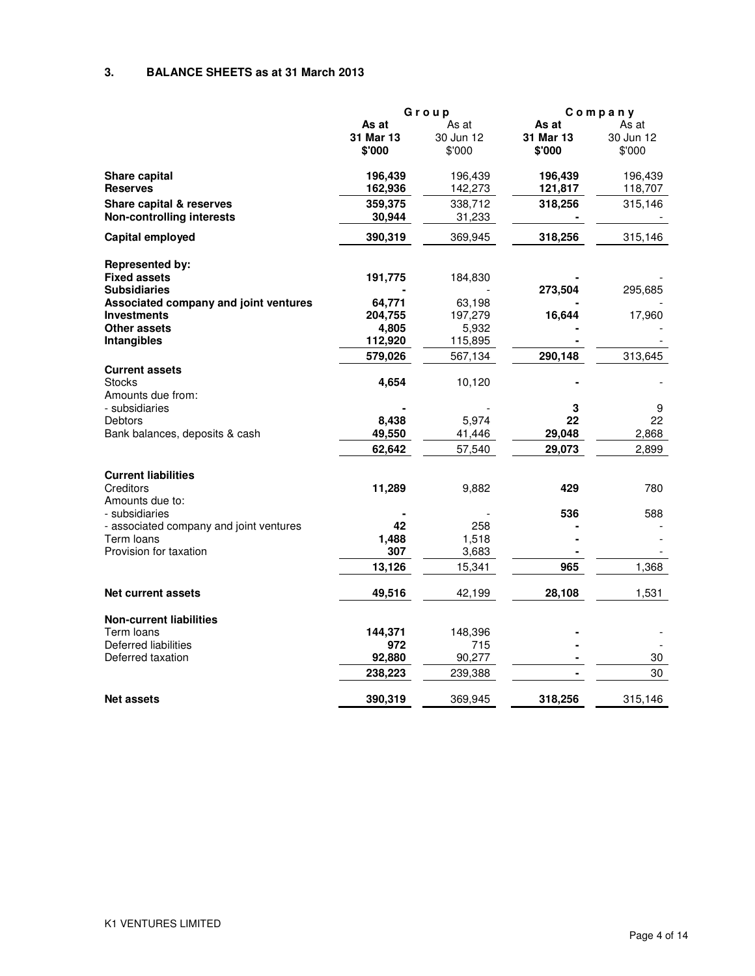#### **3. BALANCE SHEETS as at 31 March 2013**

|                                                             | Group               |                     |                     | Company             |  |
|-------------------------------------------------------------|---------------------|---------------------|---------------------|---------------------|--|
|                                                             | As at               | As at               | As at               | As at               |  |
|                                                             | 31 Mar 13<br>\$'000 | 30 Jun 12<br>\$'000 | 31 Mar 13<br>\$'000 | 30 Jun 12<br>\$'000 |  |
| Share capital                                               | 196,439             | 196,439             | 196,439             | 196,439             |  |
| <b>Reserves</b>                                             | 162,936             | 142,273             | 121,817             | 118,707             |  |
| Share capital & reserves                                    | 359,375             | 338,712             | 318,256             | 315,146             |  |
| <b>Non-controlling interests</b>                            | 30,944              | 31,233              |                     |                     |  |
| Capital employed                                            | 390,319             | 369,945             | 318,256             | 315,146             |  |
| <b>Represented by:</b>                                      |                     |                     |                     |                     |  |
| <b>Fixed assets</b>                                         | 191,775             | 184,830             |                     |                     |  |
| <b>Subsidiaries</b>                                         |                     |                     | 273,504             | 295,685             |  |
| Associated company and joint ventures                       | 64,771              | 63,198              |                     |                     |  |
| <b>Investments</b>                                          | 204,755             | 197,279             | 16,644              | 17,960              |  |
| Other assets                                                | 4,805               | 5,932               |                     |                     |  |
| <b>Intangibles</b>                                          | 112,920             | 115,895             |                     |                     |  |
|                                                             | 579,026             | 567,134             | 290,148             | 313,645             |  |
| <b>Current assets</b><br><b>Stocks</b><br>Amounts due from: | 4,654               | 10,120              |                     |                     |  |
| - subsidiaries                                              |                     |                     | 3                   | 9                   |  |
| Debtors                                                     | 8,438               | 5,974               | 22                  | 22                  |  |
| Bank balances, deposits & cash                              | 49,550              | 41,446              | 29,048              | 2,868               |  |
|                                                             | 62,642              | 57,540              | 29,073              | 2,899               |  |
|                                                             |                     |                     |                     |                     |  |
| <b>Current liabilities</b><br>Creditors                     | 11,289              | 9,882               | 429                 | 780                 |  |
| Amounts due to:                                             |                     |                     |                     |                     |  |
| - subsidiaries                                              |                     |                     | 536                 | 588                 |  |
| - associated company and joint ventures                     | 42                  | 258                 |                     |                     |  |
| Term loans                                                  | 1,488               | 1,518               |                     |                     |  |
| Provision for taxation                                      | 307                 | 3,683               |                     |                     |  |
|                                                             | 13,126              | 15,341              | 965                 | 1,368               |  |
| <b>Net current assets</b>                                   | 49,516              | 42,199              | 28,108              | 1,531               |  |
| <b>Non-current liabilities</b>                              |                     |                     |                     |                     |  |
| Term loans                                                  | 144,371             | 148,396             |                     |                     |  |
| Deferred liabilities                                        | 972                 | 715                 |                     |                     |  |
| Deferred taxation                                           | 92,880              | 90,277              |                     | 30                  |  |
|                                                             | 238,223             | 239,388             |                     | 30                  |  |
| <b>Net assets</b>                                           | 390,319             | 369,945             | 318,256             | 315,146             |  |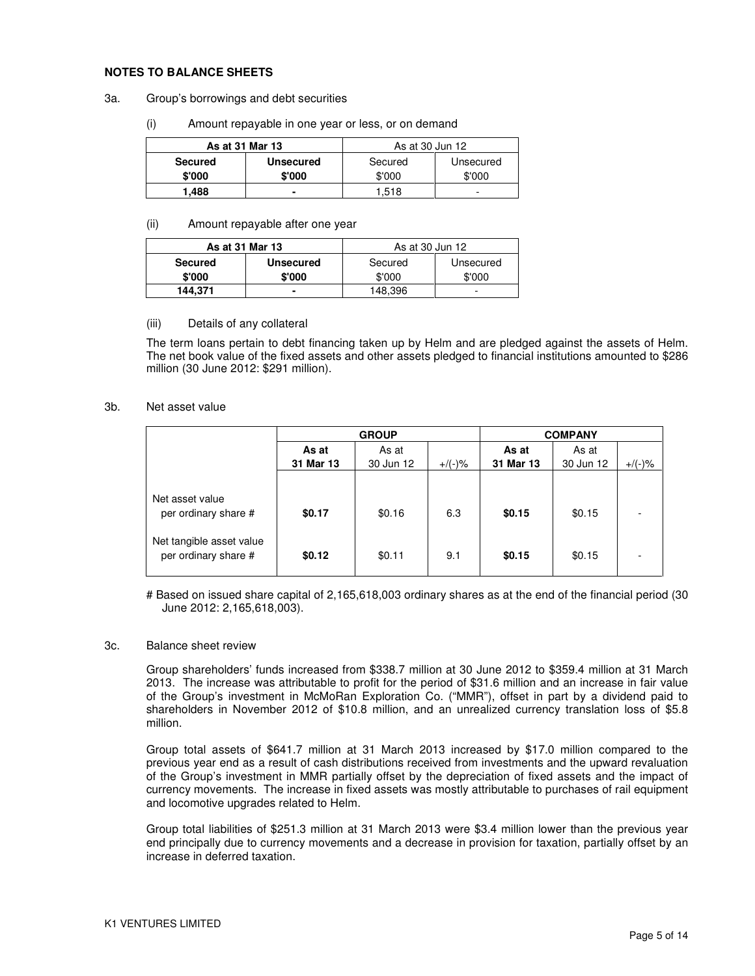#### **NOTES TO BALANCE SHEETS**

- 3a. Group's borrowings and debt securities
	- (i) Amount repayable in one year or less, or on demand

| As at 31 Mar 13 |                  | As at 30 Jun 12 |           |  |
|-----------------|------------------|-----------------|-----------|--|
| <b>Secured</b>  | <b>Unsecured</b> | Secured         | Unsecured |  |
| \$'000          | \$'000           | \$'000          | \$'000    |  |
| 1.488           |                  | 1.518           | -         |  |

#### (ii) Amount repayable after one year

| As at 31 Mar 13 |                  | As at 30 Jun 12 |           |
|-----------------|------------------|-----------------|-----------|
| <b>Secured</b>  | <b>Unsecured</b> | Secured         | Unsecured |
| \$'000          | \$'000           | \$'000          | \$'000    |
| 144,371         |                  | 148,396         | -         |

#### (iii) Details of any collateral

The term loans pertain to debt financing taken up by Helm and are pledged against the assets of Helm. The net book value of the fixed assets and other assets pledged to financial institutions amounted to \$286 million (30 June 2012: \$291 million).

#### 3b. Net asset value

|                                                                                             |                  | <b>GROUP</b>     |            | <b>COMPANY</b>   |                  |           |  |
|---------------------------------------------------------------------------------------------|------------------|------------------|------------|------------------|------------------|-----------|--|
|                                                                                             | As at            | As at            |            | As at            | As at            |           |  |
|                                                                                             | 31 Mar 13        | 30 Jun 12        | $+$ /(-)%  | 31 Mar 13        | 30 Jun 12        | $+/(-)$ % |  |
| Net asset value<br>per ordinary share #<br>Net tangible asset value<br>per ordinary share # | \$0.17<br>\$0.12 | \$0.16<br>\$0.11 | 6.3<br>9.1 | \$0.15<br>\$0.15 | \$0.15<br>\$0.15 |           |  |

# Based on issued share capital of 2,165,618,003 ordinary shares as at the end of the financial period (30 June 2012: 2,165,618,003).

#### 3c. Balance sheet review

Group shareholders' funds increased from \$338.7 million at 30 June 2012 to \$359.4 million at 31 March 2013. The increase was attributable to profit for the period of \$31.6 million and an increase in fair value of the Group's investment in McMoRan Exploration Co. ("MMR"), offset in part by a dividend paid to shareholders in November 2012 of \$10.8 million, and an unrealized currency translation loss of \$5.8 million.

Group total assets of \$641.7 million at 31 March 2013 increased by \$17.0 million compared to the previous year end as a result of cash distributions received from investments and the upward revaluation of the Group's investment in MMR partially offset by the depreciation of fixed assets and the impact of currency movements. The increase in fixed assets was mostly attributable to purchases of rail equipment and locomotive upgrades related to Helm.

Group total liabilities of \$251.3 million at 31 March 2013 were \$3.4 million lower than the previous year end principally due to currency movements and a decrease in provision for taxation, partially offset by an increase in deferred taxation.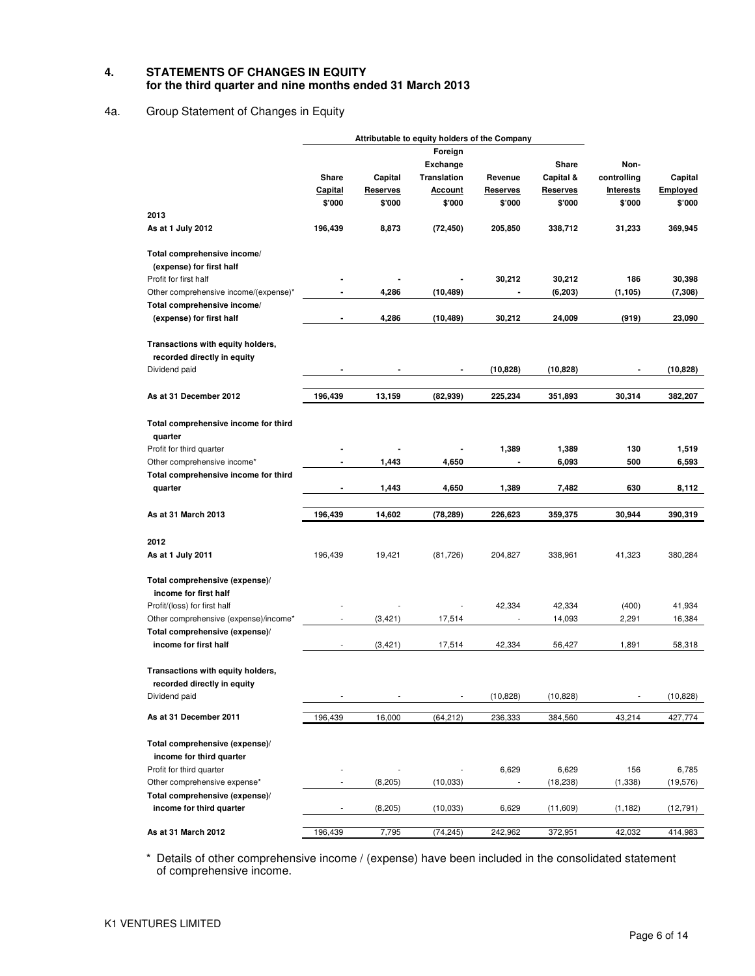#### **4. STATEMENTS OF CHANGES IN EQUITY for the third quarter and nine months ended 31 March 2013**

## 4a. Group Statement of Changes in Equity

|                                                                  | Attributable to equity holders of the Company |                 |                              |                 |                 |                  |           |
|------------------------------------------------------------------|-----------------------------------------------|-----------------|------------------------------|-----------------|-----------------|------------------|-----------|
|                                                                  |                                               |                 | Foreign                      |                 |                 |                  |           |
|                                                                  |                                               |                 | <b>Exchange</b>              |                 | Share           | Non-             |           |
|                                                                  | Share                                         | Capital         | Translation                  | Revenue         | Capital &       | controlling      | Capital   |
|                                                                  | Capital                                       | <b>Reserves</b> | <u>Account</u>               | <b>Reserves</b> | <b>Reserves</b> | <b>Interests</b> | Employed  |
|                                                                  | \$'000                                        | \$'000          | \$'000                       | \$'000          | \$'000          | \$'000           | \$'000    |
| 2013                                                             |                                               |                 |                              |                 |                 |                  |           |
| As at 1 July 2012                                                | 196,439                                       | 8,873           | (72, 450)                    | 205,850         | 338,712         | 31,233           | 369,945   |
| Total comprehensive income/<br>(expense) for first half          |                                               |                 |                              |                 |                 |                  |           |
| Profit for first half                                            |                                               |                 |                              | 30,212          | 30,212          | 186              | 30,398    |
| Other comprehensive income/(expense)*                            |                                               | 4,286           | (10, 489)                    |                 | (6, 203)        | (1, 105)         | (7, 308)  |
| Total comprehensive income/                                      |                                               |                 |                              |                 |                 |                  |           |
| (expense) for first half                                         |                                               | 4,286           | (10,489)                     | 30,212          | 24,009          | (919)            | 23,090    |
| Transactions with equity holders,                                |                                               |                 |                              |                 |                 |                  |           |
| recorded directly in equity                                      |                                               |                 |                              |                 |                 |                  |           |
| Dividend paid                                                    |                                               |                 | $\qquad \qquad \blacksquare$ | (10, 828)       | (10, 828)       |                  | (10, 828) |
| As at 31 December 2012                                           | 196,439                                       | 13,159          | (82, 939)                    | 225,234         | 351,893         | 30,314           | 382,207   |
| Total comprehensive income for third<br>quarter                  |                                               |                 |                              |                 |                 |                  |           |
| Profit for third quarter                                         |                                               |                 |                              | 1,389           | 1,389           | 130              | 1,519     |
| Other comprehensive income*                                      |                                               | 1,443           | 4,650                        |                 | 6,093           | 500              | 6,593     |
| Total comprehensive income for third                             |                                               |                 |                              |                 |                 |                  |           |
| quarter                                                          |                                               | 1,443           | 4,650                        | 1,389           | 7,482           | 630              | 8,112     |
|                                                                  |                                               |                 |                              |                 |                 |                  |           |
| As at 31 March 2013                                              | 196,439                                       | 14,602          | (78,289)                     | 226,623         | 359,375         | 30,944           | 390,319   |
| 2012                                                             |                                               |                 |                              |                 |                 |                  |           |
| As at 1 July 2011                                                | 196,439                                       | 19,421          | (81, 726)                    | 204,827         | 338,961         | 41,323           | 380,284   |
| Total comprehensive (expense)/<br>income for first half          |                                               |                 |                              |                 |                 |                  |           |
| Profit/(loss) for first half                                     |                                               |                 |                              | 42,334          | 42,334          | (400)            | 41,934    |
| Other comprehensive (expense)/income*                            |                                               | (3, 421)        | 17,514                       |                 | 14,093          | 2,291            | 16,384    |
| Total comprehensive (expense)/                                   |                                               |                 |                              |                 |                 |                  |           |
| income for first half                                            |                                               | (3, 421)        | 17,514                       | 42,334          | 56,427          | 1,891            | 58,318    |
| Transactions with equity holders,<br>recorded directly in equity |                                               |                 |                              |                 |                 |                  |           |
| Dividend paid                                                    |                                               |                 |                              | (10, 828)       | (10, 828)       |                  | (10, 828) |
| As at 31 December 2011                                           | 196,439                                       | 16,000          | (64, 212)                    | 236,333         | 384,560         | 43,214           | 427,774   |
|                                                                  |                                               |                 |                              |                 |                 |                  |           |
| Total comprehensive (expense)/                                   |                                               |                 |                              |                 |                 |                  |           |
| income for third quarter                                         |                                               |                 |                              |                 |                 |                  |           |
| Profit for third quarter                                         |                                               |                 |                              | 6,629           | 6,629           | 156              | 6,785     |
| Other comprehensive expense*                                     |                                               | (8, 205)        | (10, 033)                    |                 | (18, 238)       | (1, 338)         | (19, 576) |
| Total comprehensive (expense)/<br>income for third quarter       |                                               | (8, 205)        | (10, 033)                    | 6,629           | (11,609)        | (1, 182)         | (12, 791) |
|                                                                  |                                               |                 |                              |                 |                 |                  |           |
| As at 31 March 2012                                              | 196,439                                       | 7,795           | (74, 245)                    | 242,962         | 372,951         | 42,032           | 414,983   |

\* Details of other comprehensive income / (expense) have been included in the consolidated statement of comprehensive income.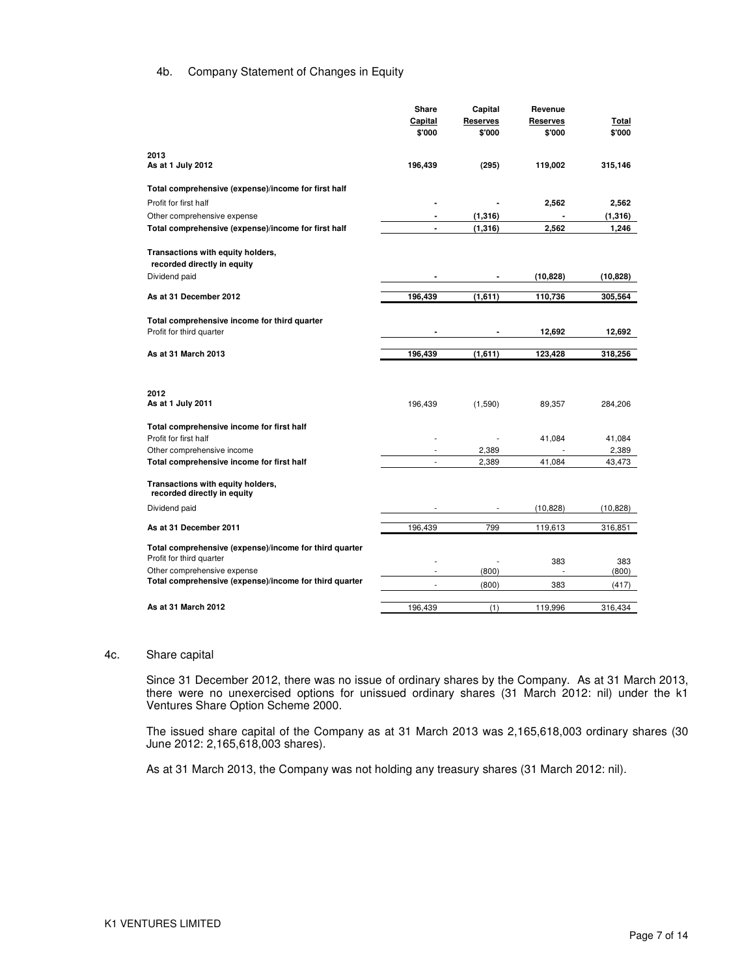#### 4b. Company Statement of Changes in Equity

|                                                                  | Share                    | Capital         | Revenue         |           |
|------------------------------------------------------------------|--------------------------|-----------------|-----------------|-----------|
|                                                                  | <b>Capital</b>           | <b>Reserves</b> | <b>Reserves</b> | Total     |
|                                                                  | \$'000                   | \$'000          | \$'000          | \$'000    |
|                                                                  |                          |                 |                 |           |
| 2013                                                             |                          |                 |                 |           |
| As at 1 July 2012                                                | 196,439                  | (295)           | 119,002         | 315,146   |
|                                                                  |                          |                 |                 |           |
| Total comprehensive (expense)/income for first half              |                          |                 |                 |           |
| Profit for first half                                            |                          |                 | 2,562           | 2,562     |
| Other comprehensive expense                                      |                          | (1, 316)        |                 | (1,316)   |
| Total comprehensive (expense)/income for first half              |                          | (1, 316)        | 2,562           | 1,246     |
|                                                                  |                          |                 |                 |           |
| Transactions with equity holders,                                |                          |                 |                 |           |
| recorded directly in equity                                      |                          |                 |                 |           |
| Dividend paid                                                    |                          |                 | (10, 828)       | (10, 828) |
|                                                                  |                          |                 |                 |           |
| As at 31 December 2012                                           | 196,439                  | (1,611)         | 110,736         | 305,564   |
|                                                                  |                          |                 |                 |           |
| Total comprehensive income for third quarter                     |                          |                 |                 |           |
| Profit for third quarter                                         |                          |                 | 12,692          | 12,692    |
| As at 31 March 2013                                              | 196,439                  | (1,611)         | 123,428         | 318,256   |
|                                                                  |                          |                 |                 |           |
|                                                                  |                          |                 |                 |           |
|                                                                  |                          |                 |                 |           |
| 2012<br>As at 1 July 2011                                        |                          |                 |                 |           |
|                                                                  | 196,439                  | (1,590)         | 89,357          | 284,206   |
| Total comprehensive income for first half                        |                          |                 |                 |           |
| Profit for first half                                            |                          |                 | 41,084          | 41,084    |
| Other comprehensive income                                       |                          | 2,389           |                 | 2,389     |
| Total comprehensive income for first half                        | $\overline{\phantom{a}}$ | 2,389           | 41,084          | 43,473    |
|                                                                  |                          |                 |                 |           |
| Transactions with equity holders,<br>recorded directly in equity |                          |                 |                 |           |
|                                                                  |                          |                 |                 |           |
| Dividend paid                                                    |                          |                 | (10,828)        | (10, 828) |
| As at 31 December 2011                                           | 196,439                  | 799             | 119,613         | 316,851   |
|                                                                  |                          |                 |                 |           |
| Total comprehensive (expense)/income for third quarter           |                          |                 |                 |           |
| Profit for third quarter                                         |                          |                 | 383             | 383       |
| Other comprehensive expense                                      |                          | (800)           |                 | (800)     |
| Total comprehensive (expense)/income for third quarter           |                          | (800)           | 383             | (417)     |
|                                                                  |                          |                 |                 |           |
| As at 31 March 2012                                              | 196,439                  | (1)             | 119,996         | 316,434   |

#### 4c. Share capital

Since 31 December 2012, there was no issue of ordinary shares by the Company. As at 31 March 2013, there were no unexercised options for unissued ordinary shares (31 March 2012: nil) under the k1 Ventures Share Option Scheme 2000.

The issued share capital of the Company as at 31 March 2013 was 2,165,618,003 ordinary shares (30 June 2012: 2,165,618,003 shares).

As at 31 March 2013, the Company was not holding any treasury shares (31 March 2012: nil).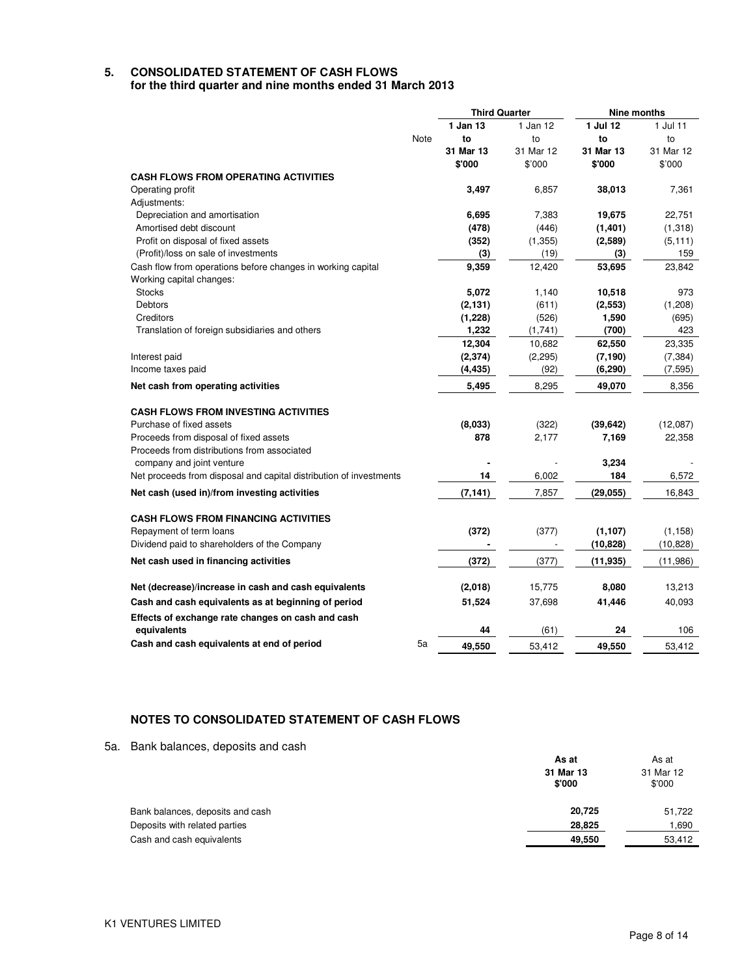# **5. CONSOLIDATED STATEMENT OF CASH FLOWS**

**for the third quarter and nine months ended 31 March 2013** 

|                                                                    |      | <b>Third Quarter</b> |           | Nine months |           |
|--------------------------------------------------------------------|------|----------------------|-----------|-------------|-----------|
|                                                                    |      | 1 Jan 13             | 1 Jan 12  | 1 Jul 12    | 1 Jul 11  |
|                                                                    | Note | to                   | to        | to          | to        |
|                                                                    |      | 31 Mar 13            | 31 Mar 12 | 31 Mar 13   | 31 Mar 12 |
|                                                                    |      | \$'000               | \$'000    | \$'000      | \$'000    |
| <b>CASH FLOWS FROM OPERATING ACTIVITIES</b>                        |      |                      |           |             |           |
| Operating profit                                                   |      | 3,497                | 6,857     | 38,013      | 7,361     |
| Adjustments:                                                       |      |                      |           |             |           |
| Depreciation and amortisation                                      |      | 6,695                | 7,383     | 19,675      | 22,751    |
| Amortised debt discount                                            |      | (478)                | (446)     | (1, 401)    | (1,318)   |
| Profit on disposal of fixed assets                                 |      | (352)                | (1, 355)  | (2,589)     | (5, 111)  |
| (Profit)/loss on sale of investments                               |      | (3)                  | (19)      | (3)         | 159       |
| Cash flow from operations before changes in working capital        |      | 9,359                | 12,420    | 53,695      | 23,842    |
| Working capital changes:                                           |      |                      |           |             |           |
| <b>Stocks</b>                                                      |      | 5,072                | 1,140     | 10,518      | 973       |
| <b>Debtors</b>                                                     |      | (2, 131)             | (611)     | (2, 553)    | (1,208)   |
| Creditors                                                          |      | (1, 228)             | (526)     | 1,590       | (695)     |
| Translation of foreign subsidiaries and others                     |      | 1,232                | (1,741)   | (700)       | 423       |
|                                                                    |      | 12,304               | 10,682    | 62,550      | 23,335    |
| Interest paid                                                      |      | (2, 374)             | (2, 295)  | (7, 190)    | (7, 384)  |
| Income taxes paid                                                  |      | (4, 435)             | (92)      | (6, 290)    | (7, 595)  |
| Net cash from operating activities                                 |      | 5,495                | 8,295     | 49,070      | 8,356     |
| <b>CASH FLOWS FROM INVESTING ACTIVITIES</b>                        |      |                      |           |             |           |
| Purchase of fixed assets                                           |      | (8,033)              | (322)     | (39, 642)   | (12,087)  |
| Proceeds from disposal of fixed assets                             |      | 878                  | 2,177     | 7,169       | 22,358    |
| Proceeds from distributions from associated                        |      |                      |           |             |           |
| company and joint venture                                          |      |                      |           | 3,234       |           |
| Net proceeds from disposal and capital distribution of investments |      | 14                   | 6,002     | 184         | 6,572     |
| Net cash (used in)/from investing activities                       |      | (7, 141)             | 7,857     | (29, 055)   | 16,843    |
| <b>CASH FLOWS FROM FINANCING ACTIVITIES</b>                        |      |                      |           |             |           |
| Repayment of term loans                                            |      | (372)                | (377)     | (1, 107)    | (1, 158)  |
| Dividend paid to shareholders of the Company                       |      |                      |           | (10, 828)   | (10, 828) |
| Net cash used in financing activities                              |      | (372)                | (377)     | (11, 935)   | (11,986)  |
| Net (decrease)/increase in cash and cash equivalents               |      | (2,018)              | 15,775    | 8,080       | 13,213    |
| Cash and cash equivalents as at beginning of period                |      | 51,524               | 37,698    | 41,446      | 40,093    |
|                                                                    |      |                      |           |             |           |
| Effects of exchange rate changes on cash and cash<br>equivalents   |      | 44                   | (61)      | 24          | 106       |
| Cash and cash equivalents at end of period                         | 5a   | 49,550               | 53,412    | 49,550      | 53,412    |

## **NOTES TO CONSOLIDATED STATEMENT OF CASH FLOWS**

5a. Bank balances, deposits and cash

|                                  | As at<br>31 Mar 13<br>\$'000 |        |
|----------------------------------|------------------------------|--------|
|                                  |                              |        |
| Bank balances, deposits and cash | 20.725                       | 51,722 |
| Deposits with related parties    | 28,825                       | 1,690  |
| Cash and cash equivalents        | 49,550                       | 53,412 |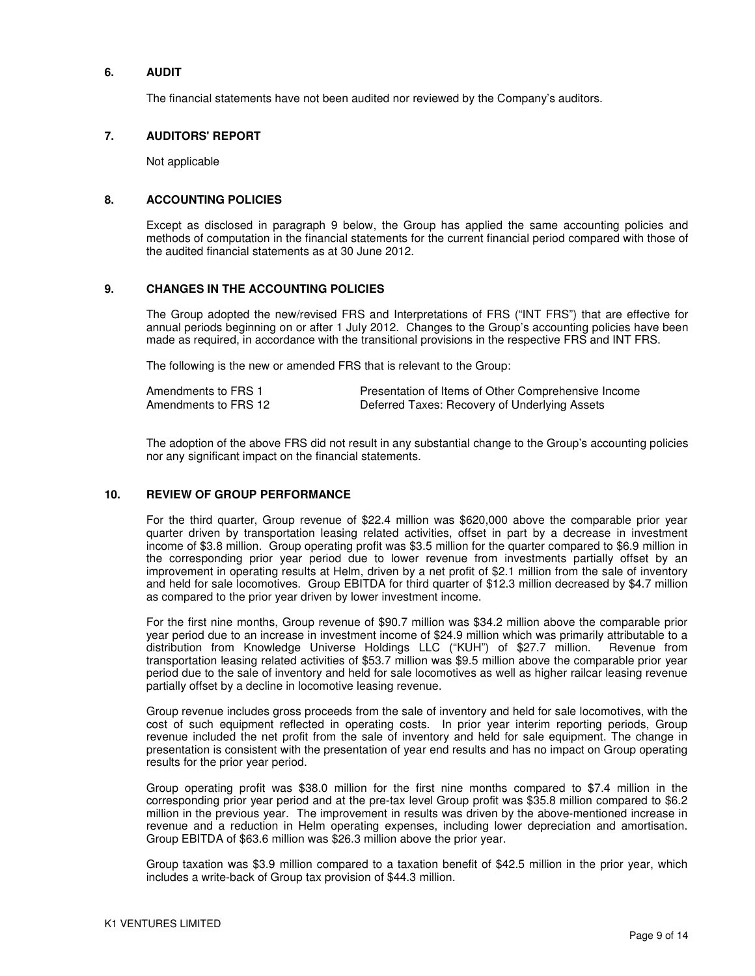#### **6. AUDIT**

The financial statements have not been audited nor reviewed by the Company's auditors.

#### **7. AUDITORS' REPORT**

Not applicable

#### **8. ACCOUNTING POLICIES**

Except as disclosed in paragraph 9 below, the Group has applied the same accounting policies and methods of computation in the financial statements for the current financial period compared with those of the audited financial statements as at 30 June 2012.

#### **9. CHANGES IN THE ACCOUNTING POLICIES**

The Group adopted the new/revised FRS and Interpretations of FRS ("INT FRS") that are effective for annual periods beginning on or after 1 July 2012. Changes to the Group's accounting policies have been made as required, in accordance with the transitional provisions in the respective FRS and INT FRS.

The following is the new or amended FRS that is relevant to the Group:

| Amendments to FRS 1  | Presentation of Items of Other Comprehensive Income |
|----------------------|-----------------------------------------------------|
| Amendments to FRS 12 | Deferred Taxes: Recovery of Underlying Assets       |

The adoption of the above FRS did not result in any substantial change to the Group's accounting policies nor any significant impact on the financial statements.

#### **10. REVIEW OF GROUP PERFORMANCE**

For the third quarter, Group revenue of \$22.4 million was \$620,000 above the comparable prior year quarter driven by transportation leasing related activities, offset in part by a decrease in investment income of \$3.8 million. Group operating profit was \$3.5 million for the quarter compared to \$6.9 million in the corresponding prior year period due to lower revenue from investments partially offset by an improvement in operating results at Helm, driven by a net profit of \$2.1 million from the sale of inventory and held for sale locomotives. Group EBITDA for third quarter of \$12.3 million decreased by \$4.7 million as compared to the prior year driven by lower investment income.

For the first nine months, Group revenue of \$90.7 million was \$34.2 million above the comparable prior year period due to an increase in investment income of \$24.9 million which was primarily attributable to a distribution from Knowledge Universe Holdings LLC ("KUH") of \$27.7 million. Revenue from transportation leasing related activities of \$53.7 million was \$9.5 million above the comparable prior year period due to the sale of inventory and held for sale locomotives as well as higher railcar leasing revenue partially offset by a decline in locomotive leasing revenue.

Group revenue includes gross proceeds from the sale of inventory and held for sale locomotives, with the cost of such equipment reflected in operating costs. In prior year interim reporting periods, Group revenue included the net profit from the sale of inventory and held for sale equipment. The change in presentation is consistent with the presentation of year end results and has no impact on Group operating results for the prior year period.

Group operating profit was \$38.0 million for the first nine months compared to \$7.4 million in the corresponding prior year period and at the pre-tax level Group profit was \$35.8 million compared to \$6.2 million in the previous year. The improvement in results was driven by the above-mentioned increase in revenue and a reduction in Helm operating expenses, including lower depreciation and amortisation. Group EBITDA of \$63.6 million was \$26.3 million above the prior year.

Group taxation was \$3.9 million compared to a taxation benefit of \$42.5 million in the prior year, which includes a write-back of Group tax provision of \$44.3 million.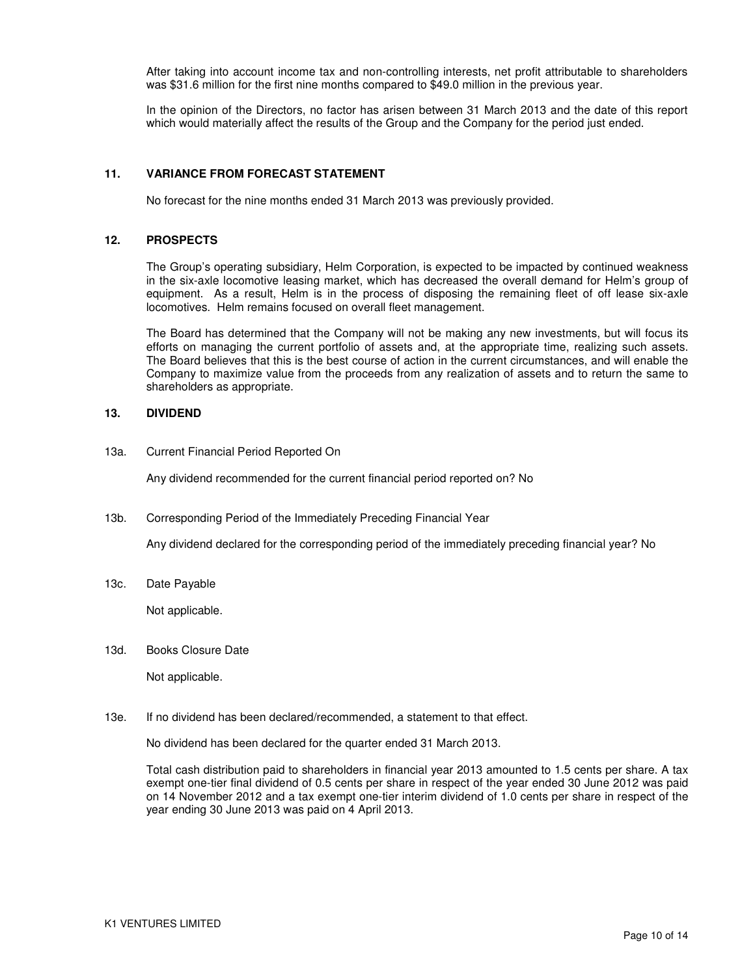After taking into account income tax and non-controlling interests, net profit attributable to shareholders was \$31.6 million for the first nine months compared to \$49.0 million in the previous year.

In the opinion of the Directors, no factor has arisen between 31 March 2013 and the date of this report which would materially affect the results of the Group and the Company for the period just ended.

#### **11. VARIANCE FROM FORECAST STATEMENT**

No forecast for the nine months ended 31 March 2013 was previously provided.

#### **12. PROSPECTS**

The Group's operating subsidiary, Helm Corporation, is expected to be impacted by continued weakness in the six-axle locomotive leasing market, which has decreased the overall demand for Helm's group of equipment. As a result, Helm is in the process of disposing the remaining fleet of off lease six-axle locomotives. Helm remains focused on overall fleet management.

The Board has determined that the Company will not be making any new investments, but will focus its efforts on managing the current portfolio of assets and, at the appropriate time, realizing such assets. The Board believes that this is the best course of action in the current circumstances, and will enable the Company to maximize value from the proceeds from any realization of assets and to return the same to shareholders as appropriate.

#### **13. DIVIDEND**

13a. Current Financial Period Reported On

Any dividend recommended for the current financial period reported on? No

13b. Corresponding Period of the Immediately Preceding Financial Year

Any dividend declared for the corresponding period of the immediately preceding financial year? No

13c. Date Payable

Not applicable.

13d. Books Closure Date

Not applicable.

13e. If no dividend has been declared/recommended, a statement to that effect.

No dividend has been declared for the quarter ended 31 March 2013.

Total cash distribution paid to shareholders in financial year 2013 amounted to 1.5 cents per share. A tax exempt one-tier final dividend of 0.5 cents per share in respect of the year ended 30 June 2012 was paid on 14 November 2012 and a tax exempt one-tier interim dividend of 1.0 cents per share in respect of the year ending 30 June 2013 was paid on 4 April 2013.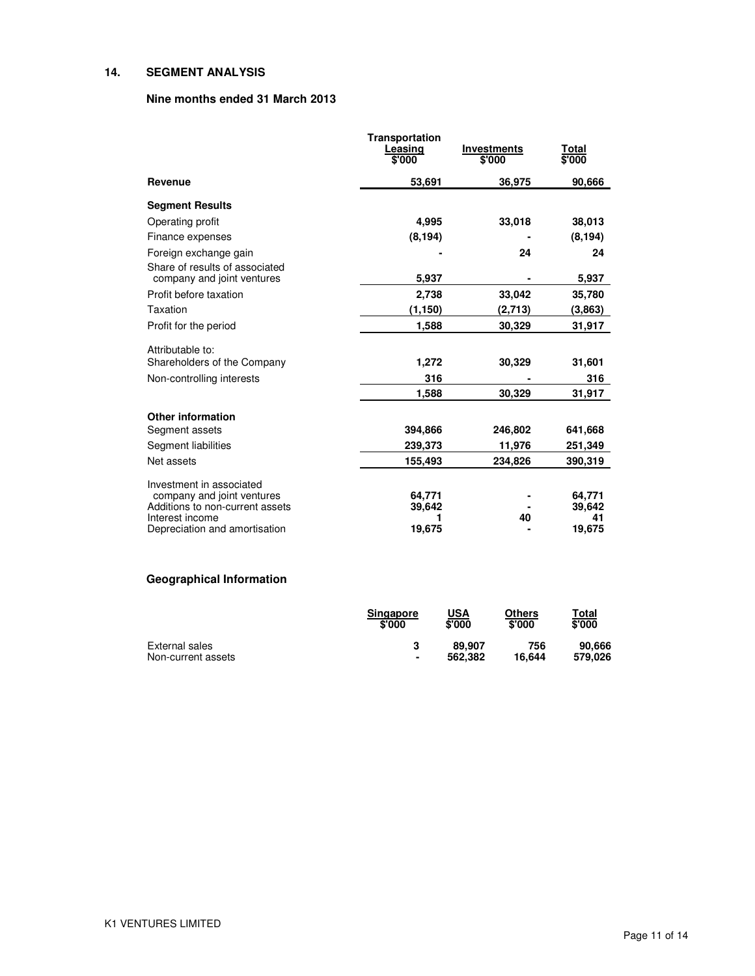#### **14. SEGMENT ANALYSIS**

#### **Nine months ended 31 March 2013**

|                                                  | Transportation<br>Leasing<br>\$'000 | <b>Investments</b><br>\$'000 | Total<br>\$'000 |
|--------------------------------------------------|-------------------------------------|------------------------------|-----------------|
| Revenue                                          | 53,691                              | 36,975                       | 90,666          |
| <b>Segment Results</b>                           |                                     |                              |                 |
| Operating profit                                 | 4,995                               | 33.018                       | 38,013          |
| Finance expenses                                 | (8, 194)                            |                              | (8, 194)        |
| Foreign exchange gain                            |                                     | 24                           | 24              |
| Share of results of associated                   |                                     |                              |                 |
| company and joint ventures                       | 5,937                               |                              | 5,937           |
| Profit before taxation                           | 2,738                               | 33,042                       | 35,780          |
| Taxation                                         | (1, 150)                            | (2,713)                      | (3,863)         |
| Profit for the period                            | 1,588                               | 30,329                       | 31,917          |
| Attributable to:                                 |                                     |                              |                 |
| Shareholders of the Company                      | 1,272                               | 30,329                       | 31,601          |
| Non-controlling interests                        | 316                                 |                              | 316             |
|                                                  | 1,588                               | 30,329                       | 31,917          |
| <b>Other information</b>                         |                                     |                              |                 |
| Segment assets                                   | 394,866                             | 246,802                      | 641,668         |
| Segment liabilities                              | 239,373                             | 11,976                       | 251,349         |
| Net assets                                       | 155,493                             | 234,826                      | 390,319         |
| Investment in associated                         |                                     |                              |                 |
| company and joint ventures                       | 64,771                              |                              | 64,771          |
| Additions to non-current assets                  | 39,642                              |                              | 39,642          |
| Interest income<br>Depreciation and amortisation | 19,675                              | 40                           | 41<br>19,675    |

# **Geographical Information**

|                    | <b>Singapore</b><br>\$'000 | USA<br>\$'000 | Others<br>\$'000 | Total<br>\$'000 |
|--------------------|----------------------------|---------------|------------------|-----------------|
| External sales     |                            | 89.907        | 756              | 90.666          |
| Non-current assets | ٠                          | 562.382       | 16.644           | 579.026         |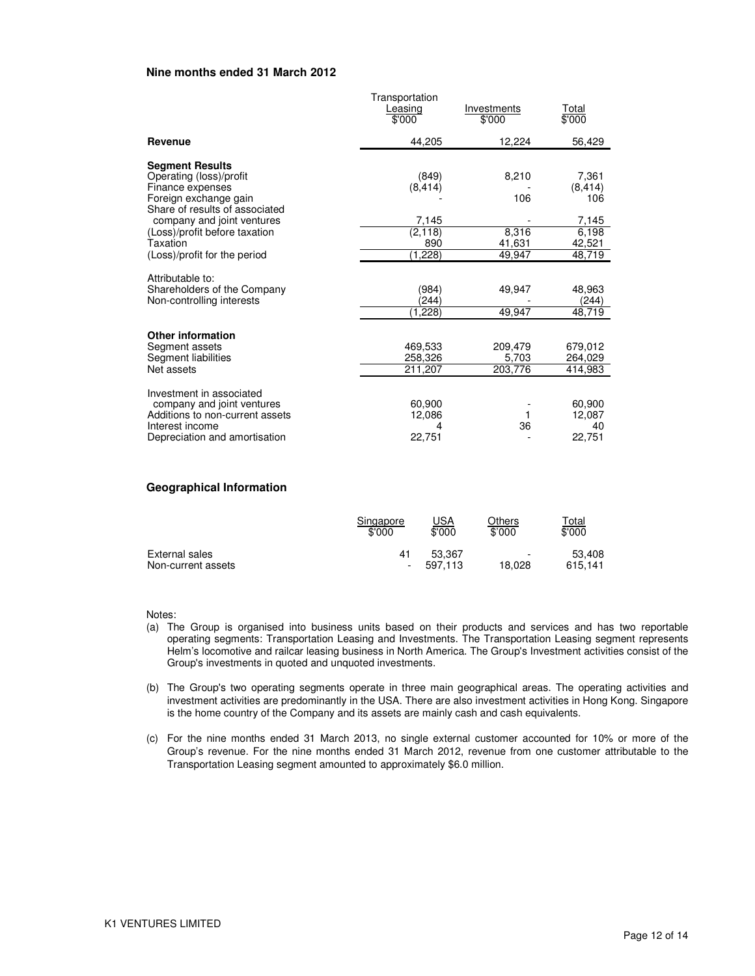#### **Nine months ended 31 March 2012**

|                                                                                                                                                                                                                                             | Transportation<br>Leasing<br>\$'000                      | Investments<br>\$'000                     | Total<br>\$'000                                                |
|---------------------------------------------------------------------------------------------------------------------------------------------------------------------------------------------------------------------------------------------|----------------------------------------------------------|-------------------------------------------|----------------------------------------------------------------|
| Revenue                                                                                                                                                                                                                                     | 44,205                                                   | 12,224                                    | 56,429                                                         |
| <b>Segment Results</b><br>Operating (loss)/profit<br>Finance expenses<br>Foreign exchange gain<br>Share of results of associated<br>company and joint ventures<br>(Loss)/profit before taxation<br>Taxation<br>(Loss)/profit for the period | (849)<br>(8, 414)<br>7,145<br>(2, 118)<br>890<br>(1,228) | 8,210<br>106<br>8,316<br>41,631<br>49,947 | 7,361<br>(8, 414)<br>106<br>7,145<br>6,198<br>42,521<br>48,719 |
| Attributable to:<br>Shareholders of the Company<br>Non-controlling interests                                                                                                                                                                | (984)<br>(244)<br>(1,228)                                | 49,947<br>49,947                          | 48,963<br>(244)<br>48,719                                      |
| <b>Other information</b><br>Segment assets<br>Segment liabilities<br>Net assets                                                                                                                                                             | 469,533<br>258,326<br>211,207                            | 209,479<br>5,703<br>203,776               | 679,012<br>264,029<br>414,983                                  |
| Investment in associated<br>company and joint ventures<br>Additions to non-current assets<br>Interest income<br>Depreciation and amortisation                                                                                               | 60,900<br>12,086<br>4<br>22,751                          | 36                                        | 60,900<br>12,087<br>40<br>22,751                               |

#### **Geographical Information**

|                    | Singapore | <u>USA</u> | Others                   | <u>Total</u> |
|--------------------|-----------|------------|--------------------------|--------------|
|                    | \$'000    | \$'000     | \$'000                   | \$'000       |
| External sales     | 41        | 53.367     | $\overline{\phantom{a}}$ | 53,408       |
| Non-current assets |           | 597.113    | 18.028                   | 615.141      |

Notes:

- (a) The Group is organised into business units based on their products and services and has two reportable operating segments: Transportation Leasing and Investments. The Transportation Leasing segment represents Helm's locomotive and railcar leasing business in North America. The Group's Investment activities consist of the Group's investments in quoted and unquoted investments.
- (b) The Group's two operating segments operate in three main geographical areas. The operating activities and investment activities are predominantly in the USA. There are also investment activities in Hong Kong. Singapore is the home country of the Company and its assets are mainly cash and cash equivalents.
- (c) For the nine months ended 31 March 2013, no single external customer accounted for 10% or more of the Group's revenue. For the nine months ended 31 March 2012, revenue from one customer attributable to the Transportation Leasing segment amounted to approximately \$6.0 million.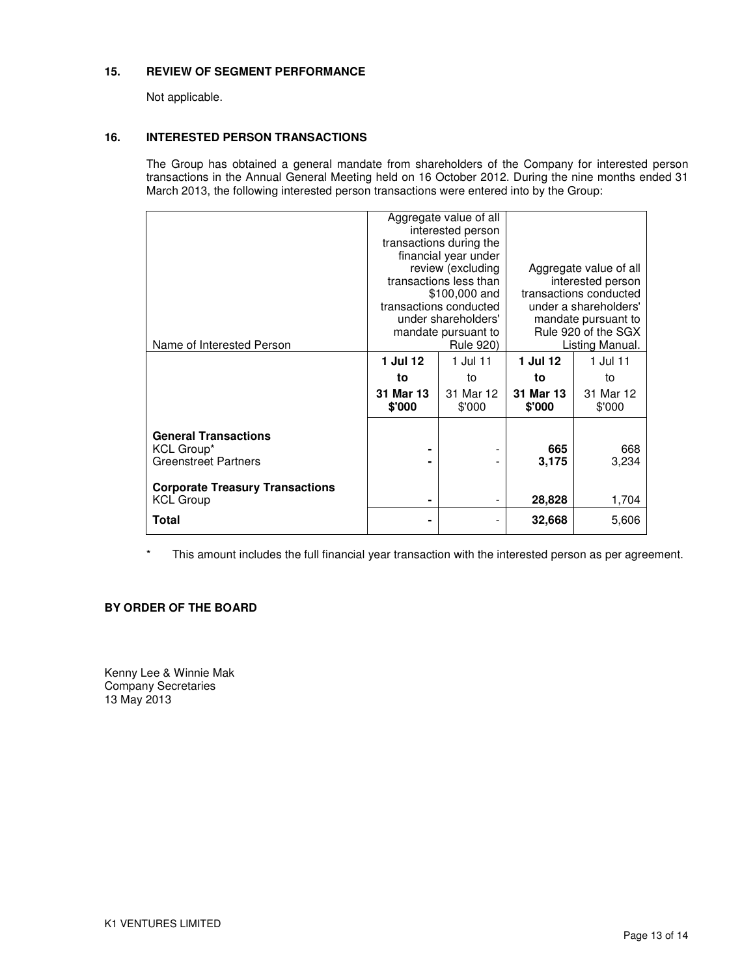#### **15. REVIEW OF SEGMENT PERFORMANCE**

Not applicable.

#### **16. INTERESTED PERSON TRANSACTIONS**

The Group has obtained a general mandate from shareholders of the Company for interested person transactions in the Annual General Meeting held on 16 October 2012. During the nine months ended 31 March 2013, the following interested person transactions were entered into by the Group:

|                                        |           | Aggregate value of all  |                        |                 |  |
|----------------------------------------|-----------|-------------------------|------------------------|-----------------|--|
|                                        |           | interested person       |                        |                 |  |
|                                        |           | transactions during the |                        |                 |  |
|                                        |           | financial year under    |                        |                 |  |
|                                        |           | review (excluding       | Aggregate value of all |                 |  |
|                                        |           | transactions less than  | interested person      |                 |  |
|                                        |           | \$100,000 and           | transactions conducted |                 |  |
|                                        |           | transactions conducted  | under a shareholders'  |                 |  |
|                                        |           | under shareholders'     | mandate pursuant to    |                 |  |
|                                        |           | mandate pursuant to     | Rule 920 of the SGX    |                 |  |
| Name of Interested Person              |           | <b>Rule 920)</b>        |                        | Listing Manual. |  |
|                                        | 1 Jul 12  | 1 Jul 11                | 1 Jul 12               | 1 Jul 11        |  |
|                                        | to        | to                      | to                     | to              |  |
|                                        | 31 Mar 13 | 31 Mar 12               | 31 Mar 13              | 31 Mar 12       |  |
|                                        | \$'000    | \$'000                  | \$'000                 | \$'000          |  |
|                                        |           |                         |                        |                 |  |
| <b>General Transactions</b>            |           |                         |                        |                 |  |
| KCL Group*                             | ۰         |                         | 665                    | 668             |  |
| <b>Greenstreet Partners</b>            |           |                         | 3,175                  | 3,234           |  |
|                                        |           |                         |                        |                 |  |
| <b>Corporate Treasury Transactions</b> |           |                         |                        |                 |  |
| <b>KCL Group</b>                       | ۰         |                         | 28,828                 | 1,704           |  |
| Total                                  | ۰         |                         | 32,668                 | 5,606           |  |
|                                        |           |                         |                        |                 |  |

\* This amount includes the full financial year transaction with the interested person as per agreement.

### **BY ORDER OF THE BOARD**

Kenny Lee & Winnie Mak Company Secretaries 13 May 2013